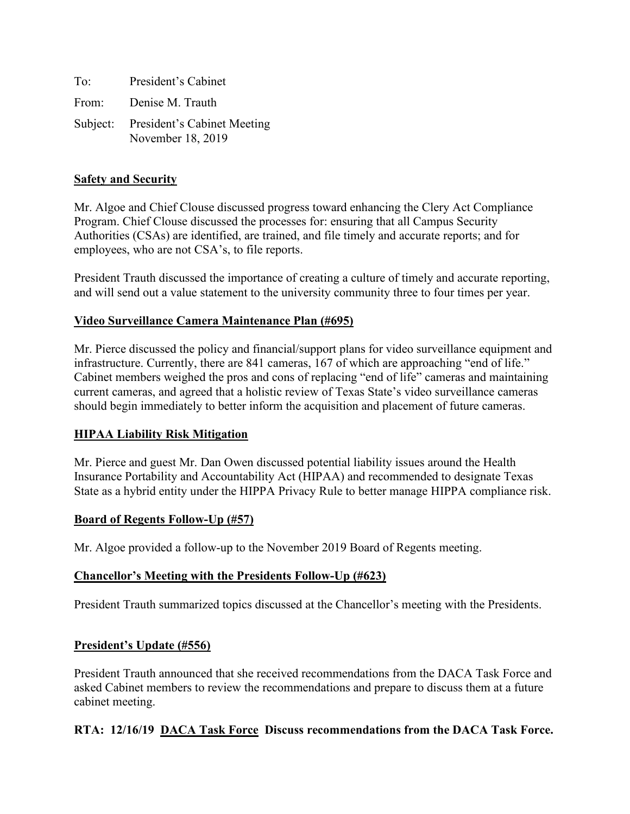To: President's Cabinet From: Denise M. Trauth Subject: President's Cabinet Meeting November 18, 2019

### **Safety and Security**

Mr. Algoe and Chief Clouse discussed progress toward enhancing the Clery Act Compliance Program. Chief Clouse discussed the processes for: ensuring that all Campus Security Authorities (CSAs) are identified, are trained, and file timely and accurate reports; and for employees, who are not CSA's, to file reports.

President Trauth discussed the importance of creating a culture of timely and accurate reporting, and will send out a value statement to the university community three to four times per year.

### **Video Surveillance Camera Maintenance Plan (#695)**

Mr. Pierce discussed the policy and financial/support plans for video surveillance equipment and infrastructure. Currently, there are 841 cameras, 167 of which are approaching "end of life." Cabinet members weighed the pros and cons of replacing "end of life" cameras and maintaining current cameras, and agreed that a holistic review of Texas State's video surveillance cameras should begin immediately to better inform the acquisition and placement of future cameras.

#### **HIPAA Liability Risk Mitigation**

Mr. Pierce and guest Mr. Dan Owen discussed potential liability issues around the Health Insurance Portability and Accountability Act (HIPAA) and recommended to designate Texas State as a hybrid entity under the HIPPA Privacy Rule to better manage HIPPA compliance risk.

#### **Board of Regents Follow-Up (#57)**

Mr. Algoe provided a follow-up to the November 2019 Board of Regents meeting.

#### **Chancellor's Meeting with the Presidents Follow-Up (#623)**

President Trauth summarized topics discussed at the Chancellor's meeting with the Presidents.

#### **President's Update (#556)**

President Trauth announced that she received recommendations from the DACA Task Force and asked Cabinet members to review the recommendations and prepare to discuss them at a future cabinet meeting.

#### **RTA: 12/16/19 DACA Task Force Discuss recommendations from the DACA Task Force.**